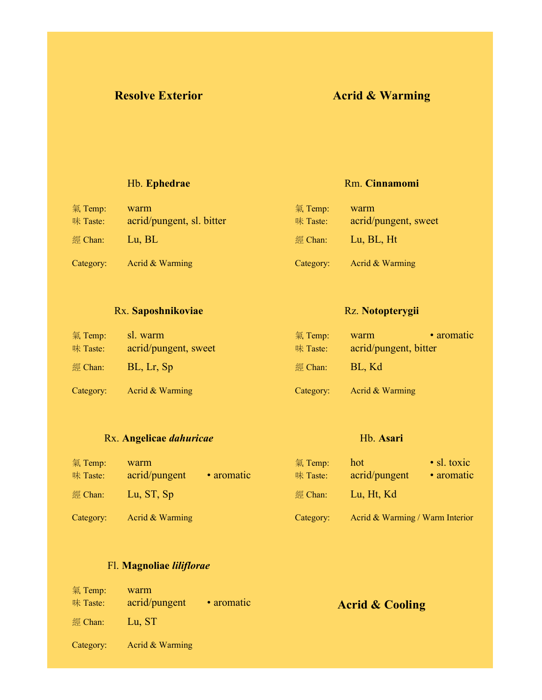## **Resolve Exterior Acrid & Warming**

Rm. **Cinnamomi**

#### Hb. **Ephedrae**

| 氣 Temp:<br>味 Taste: | warm<br>acrid/pungent, sl. bitter | 氣 Temp:<br>味 Taste: | warm<br>acrid/pungent, sweet |
|---------------------|-----------------------------------|---------------------|------------------------------|
| 經 Chan:             | Lu, BL                            | 經 Chan:             | Lu, BL, Ht                   |
| Category:           | Acrid & Warming                   | Category:           | Acrid & Warming              |

#### Rx. **Saposhnikoviae**

#### Rz. **Notopterygii**

Hb. **Asari**

| 氣 Temp:<br>味 Taste: | sl. warm<br>acrid/pungent, sweet | 氣 Temp:<br>味 Taste: | warm<br>acrid/pungent, bitter | • aromatic |
|---------------------|----------------------------------|---------------------|-------------------------------|------------|
| 經 Chan:             | BL, Lr, Sp                       | 經 Chan:             | BL, Kd                        |            |
| Category:           | Acrid & Warming                  | Category:           | Acrid & Warming               |            |

## Rx. **Angelicae** *dahuricae*

#### 氣 Temp: warm 味 Taste: acrid/pungent • aromatic 經 Chan: Lu, ST, Sp Category: Acrid & Warming 氣 Temp: hot • sl. toxic 味 Taste: acrid/pungent • aromatic 經 Chan: Lu, Ht, Kd Category: Acrid & Warming / Warm Interior

#### Fl. **Magnoliae** *liliflorae*

| 氣 Temp:<br>味 Taste: | warm<br>acrid/pungent | • aromatic | <b>Acrid &amp; Cooling</b> |
|---------------------|-----------------------|------------|----------------------------|
| 經 Chan:             | Lu, ST                |            |                            |
| Category:           | Acrid & Warming       |            |                            |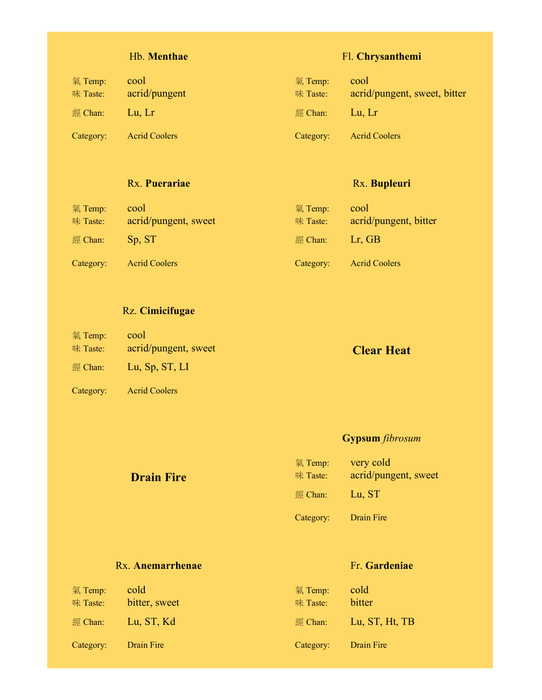### Hb. **Menthae**

| $\frac{1}{2}$ Temp:<br>味 Taste: | cool<br>acrid/pungent | 氣 Temp:<br>味 Taste: | cool<br>acrid/pungent, sweet, bitter |
|---------------------------------|-----------------------|---------------------|--------------------------------------|
| $\mathbb{Z}$ Chan:              | Lu, Lr                | 經 Chan:             | Lu. Lr                               |
| Category:                       | <b>Acrid Coolers</b>  | Category:           | <b>Acrid Coolers</b>                 |

#### Rx. **Puerariae**

### Rx. **Bupleuri**

Fl. **Chrysanthemi**

| 氣 Temp:<br>味 Taste: | cool<br>acrid/pungent, sweet | 氣 Temp:<br>味 Taste: | cool<br>acrid/pungent, bitter |
|---------------------|------------------------------|---------------------|-------------------------------|
| 經 Chan:             | Sp. ST                       | 經 Chan:             | $Lr$ , GB                     |
| Category:           | <b>Acrid Coolers</b>         | Category:           | <b>Acrid Coolers</b>          |

### Rz. **Cimicifugae**

| 氣 Temp:   | cool                 |                   |
|-----------|----------------------|-------------------|
| 味 Taste:  | acrid/pungent, sweet | <b>Clear Heat</b> |
| 經 Chan:   | Lu, Sp, ST, LI       |                   |
| Category: | <b>Acrid Coolers</b> |                   |

# **Gypsum** *fibrosum*

Fr. **Gardeniae**

## **Drain Fire** 氣 Temp: very cold 味 Taste: acrid/pungent, sweet 經 Chan: Lu, ST Category: Drain Fire

#### Rx. **Anemarrhenae**

| cold<br>$\frac{1}{2}$ Temp:<br>bitter, sweet<br>味 Taste: | 氣 Temp:<br>味 Taste:    | cold<br>bitter               |
|----------------------------------------------------------|------------------------|------------------------------|
| Lu, ST, Kd<br>經 Chan:<br>Drain Fire<br>Category:         | 經 $Chan:$<br>Category: | Lu, ST, Ht, TB<br>Drain Fire |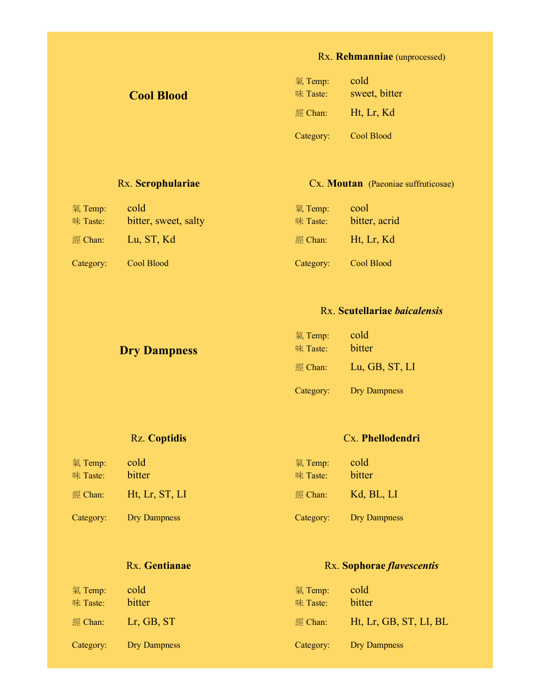### Rx. **Rehmanniae** (unprocessed)

| <b>Cool Blood</b> | 氣 Temp:<br>味 Taste: | cold<br>sweet, bitter |
|-------------------|---------------------|-----------------------|
|                   | 經 Chan:             | Ht, Lr, Kd            |
|                   | Category:           | Cool Blood            |

### Rx. **Scrophulariae**

#### Cx. **Moutan** (Paeoniae suffruticosae)

| 氣 Temp:<br>味 Taste: | cold<br>bitter, sweet, salty | 氣 Temp:<br>味 Taste: | cool<br>bitter, acrid |
|---------------------|------------------------------|---------------------|-----------------------|
| 經 Chan:             | Lu, ST, Kd                   | $\mathbb{Z}$ Chan:  | Ht, Lr, Kd            |
| Category:           | Cool Blood                   | Category:           | Cool Blood            |

#### Rx. **Scutellariae** *baicalensis*

| <b>Dry Dampness</b> | $\frac{1}{2}$ Temp:<br>味 Taste: | cold<br>bitter      |
|---------------------|---------------------------------|---------------------|
|                     | 經 Chan:                         | Lu, GB, ST, LI      |
|                     | Category:                       | <b>Dry Dampness</b> |

#### Rz. **Coptidis**

#### Cx. **Phellodendri**

| 氣 Temp:<br>味 Taste: | cold<br>bitter | 氣 Temp:<br>味 Taste: | cold<br>bitter |
|---------------------|----------------|---------------------|----------------|
| 經 Chan:             | Ht, Lr, ST, LI | 經 Chan:             | Kd, BL, LI     |
| Category:           | Dry Dampness   | Category:           | Dry Dampness   |

#### Rx. **Gentianae**

### Rx. **Sophorae** *flavescentis*

| 氣 Temp:<br>味 Taste: | cold<br>bitter | 氣 Temp:<br>味 Taste: | cold<br>bitter         |
|---------------------|----------------|---------------------|------------------------|
| 經 Chan:             | $Lr$ , GB, ST  | 經 Chan:             | Ht, Lr, GB, ST, LI, BL |
| Category:           | Dry Dampness   | Category:           | Dry Dampness           |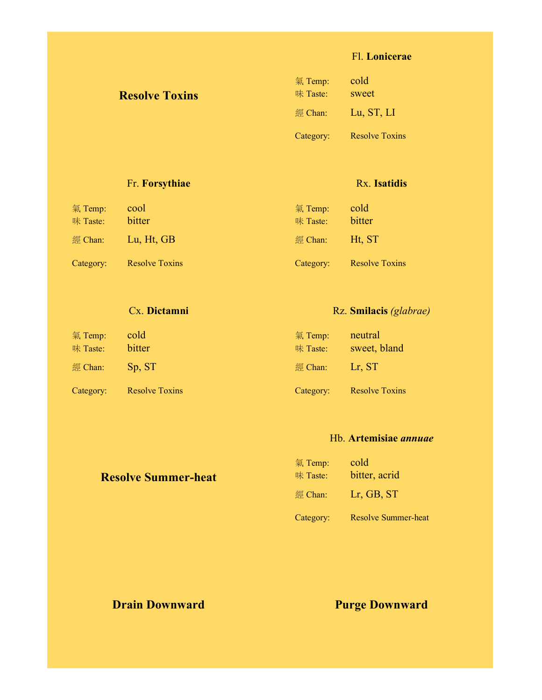#### Fl. **Lonicerae**

| <b>Resolve Toxins</b> | 氣 Temp:<br>味 Taste: | cold<br>sweet         |
|-----------------------|---------------------|-----------------------|
|                       | 經 Chan:             | Lu, ST, LI            |
|                       | Category:           | <b>Resolve Toxins</b> |

### Fr. **Forsythiae**

氣 Temp: cool 味 Taste: bitter

經 Chan: Lu, Ht, GB

Category: Resolve Toxins

#### 氣 Temp: cold

Rx. **Isatidis**

| 味 Taste:  | bitter                |
|-----------|-----------------------|
| 經 Chan:   | Ht, ST                |
| Category: | <b>Resolve Toxins</b> |

#### Cx. **Dictamni**

| 氣 Temp:<br>味 Taste: | cold<br>bitter        | 氣 Temp:<br>味 Taste: | neutral<br>sweet, bland |
|---------------------|-----------------------|---------------------|-------------------------|
| 經 Chan:             | Sp. ST                | 經 Chan:             | Lr, ST                  |
| Category:           | <b>Resolve Toxins</b> | Category:           | <b>Resolve Toxins</b>   |

#### Hb. **Artemisiae** *annuae*

Rz. **Smilacis** *(glabrae)*

| <b>Resolve Summer-heat</b> | 氣 Temp:<br>味 Taste: | cold<br>bitter, acrid      |
|----------------------------|---------------------|----------------------------|
|                            | 經 Chan:             | Lr, GB, ST                 |
|                            | Category:           | <b>Resolve Summer-heat</b> |

## **Drain Downward Purge Downward Purge Downward**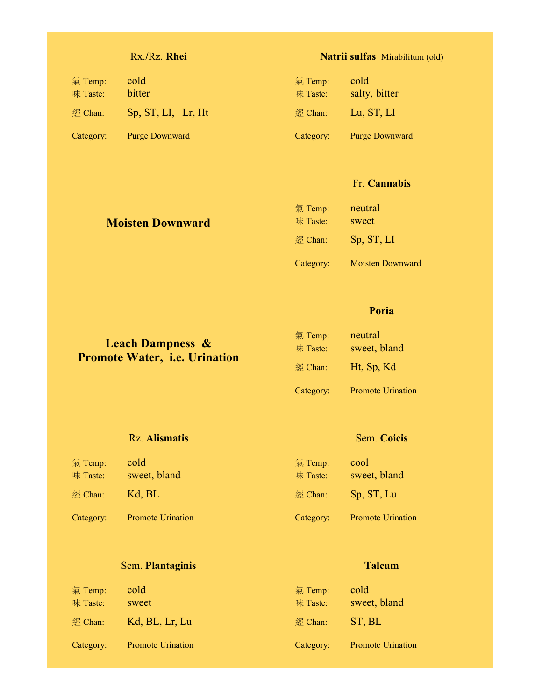### Rx.**/**Rz. **Rhei**

### **Natrii sulfas** Mirabilitum (old)

| 氣 Temp:<br>味 Taste: | cold<br>bitter     | 氣 Temp:<br>味 Taste: | cold<br>salty, bitter |
|---------------------|--------------------|---------------------|-----------------------|
| 經 Chan:             | Sp, ST, LI, Lr, Ht | 經 Chan:             | Lu, ST, LI            |
| Category:           | Purge Downward     | Category:           | <b>Purge Downward</b> |

#### Fr. **Cannabis**

| <b>Moisten Downward</b> | 氣 Temp:<br>味 Taste: | neutral<br>sweet        |
|-------------------------|---------------------|-------------------------|
|                         | 經 Chan:             | Sp, ST, LI              |
|                         | Category:           | <b>Moisten Downward</b> |

#### **Poria**

|                                      | 氣 Temp:            | neutral      |
|--------------------------------------|--------------------|--------------|
| <b>Leach Dampness &amp;</b>          | 味 Taste:           | sweet, bland |
| <b>Promote Water, i.e. Urination</b> | $\mathbb{R}$ Chan: | Ht, Sp, Kd   |

Category: Promote Urination

#### Rz. **Alismatis**

#### Sem. **Coicis**

| 氣 Temp:<br>味 Taste: | cold<br>sweet, bland     | 氣 Temp:<br>味 Taste: | cool<br>sweet, bland     |
|---------------------|--------------------------|---------------------|--------------------------|
| 經 Chan:             | Kd, BL                   | $\mathbb{R}$ Chan:  | Sp, ST, Lu               |
| Category:           | <b>Promote Urination</b> | Category:           | <b>Promote Urination</b> |

## Sem. **Plantaginis**

| 氣 Temp:<br>味 Taste: | cold<br>sweet            | 氣 Temp:<br>味 Taste: | cold<br>sweet, bland     |
|---------------------|--------------------------|---------------------|--------------------------|
| 經 Chan:             | Kd, BL, Lr, Lu           | 經 Chan:             | ST, BL                   |
| Category:           | <b>Promote Urination</b> | Category:           | <b>Promote Urination</b> |

#### **Talcum**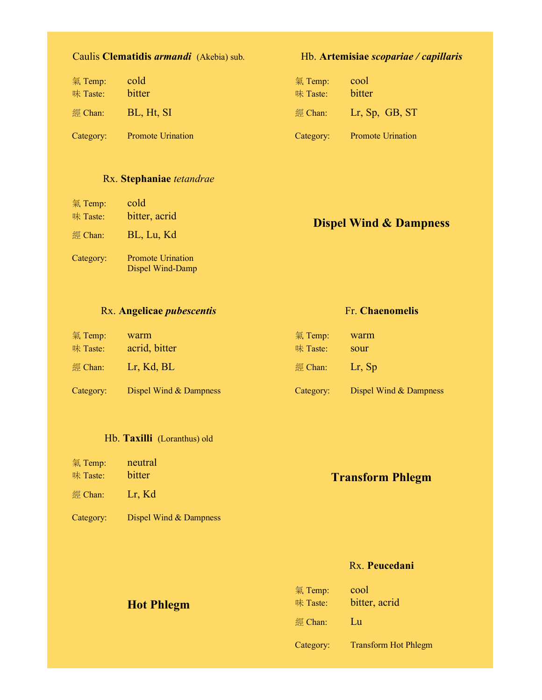| 氣 Temp:<br>味 Taste: | cold<br>bitter           | 氣 Temp:<br>味 Taste: | cool<br>bitter           |
|---------------------|--------------------------|---------------------|--------------------------|
| 經 Chan:             | BL, Ht, SI               |                     | 經 Chan: Lr, Sp, GB, ST   |
| Category:           | <b>Promote Urination</b> | Category:           | <b>Promote Urination</b> |

#### Rx. **Stephaniae** *tetandrae*

| 氣 Temp:<br>味 Taste: | cold<br>bitter, acrid                        |                                   |
|---------------------|----------------------------------------------|-----------------------------------|
| 經 Chan:             | BL, Lu, Kd                                   | <b>Dispel Wind &amp; Dampness</b> |
| Category:           | <b>Promote Urination</b><br>Dispel Wind-Damp |                                   |

#### Rx. **Angelicae** *pubescentis*

| 氣 Temp:<br>味 Taste: | warm<br>acrid, bitter  | 氣 Temp:<br>味 Taste:       | warm<br>sour           |
|---------------------|------------------------|---------------------------|------------------------|
| 經 Chan:             | Lr, Kd, BL             | $\mathbb{Z}$ Chan: Lr, Sp |                        |
| Category:           | Dispel Wind & Dampness | Category:                 | Dispel Wind & Dampness |

#### Hb. **Taxilli** (Loranthus) old

| 氣 Temp:<br>味 Taste: | neutral<br>bitter      | <b>Transform Phlegm</b> |
|---------------------|------------------------|-------------------------|
| 經 Chan:             | Lr. Kd                 |                         |
| Category:           | Dispel Wind & Dampness |                         |

#### Rx. **Peucedani**

Hb. **Artemisiae** *scopariae / capillaris*

Fr. **Chaenomelis**

| <b>Hot Phlegm</b> | 氣 Temp:<br>味 Taste: | cool<br>bitter, acrid       |
|-------------------|---------------------|-----------------------------|
|                   | 經 Chan:             | Lu                          |
|                   | Category:           | <b>Transform Hot Phlegm</b> |

## Caulis **Clematidis** *armandi* (Akebia) sub.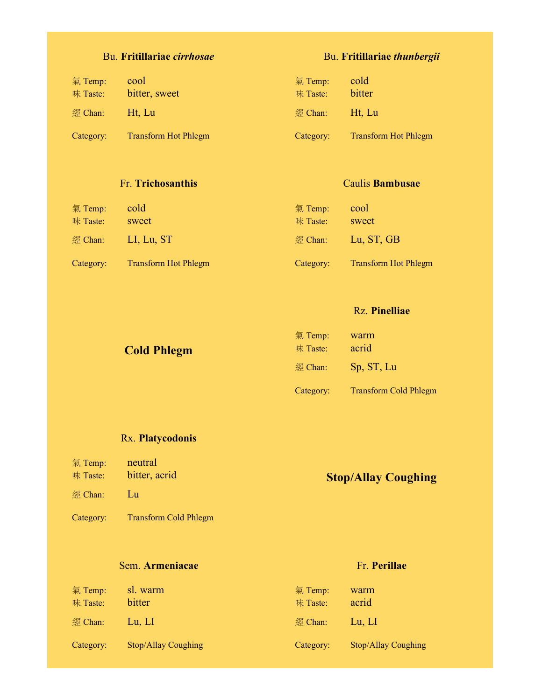## Bu. **Fritillariae** *cirrhosae*

| 氣 Temp:<br>味 Taste: | cool<br>bitter, sweet       | $\frac{1}{2}$ Temp:<br>味 Taste: | cold<br>bitter              |
|---------------------|-----------------------------|---------------------------------|-----------------------------|
| 經 Chan:             | Ht. Lu                      | 經 Chan:                         | Ht, Lu                      |
| Category:           | <b>Transform Hot Phlegm</b> | Category:                       | <b>Transform Hot Phlegm</b> |

#### Fr. **Trichosanthis**

| 氣 Temp:<br>味 Taste: | cold<br>sweet               | 氣 Temp:<br>味 Taste: | cool<br>sweet               |
|---------------------|-----------------------------|---------------------|-----------------------------|
| 經 Chan:             | LI, Lu, ST                  | 經 Chan:             | Lu, ST, GB                  |
| Category:           | <b>Transform Hot Phlegm</b> | Category:           | <b>Transform Hot Phlegm</b> |

#### Rz. **Pinelliae**

Bu. **Fritillariae** *thunbergii*

Caulis **Bambusae**

| <b>Cold Phlegm</b> | 氣 Temp:<br>味 Taste: | warm<br>acrid                |
|--------------------|---------------------|------------------------------|
|                    | 經 Chan:             | Sp, ST, Lu                   |
|                    | Category:           | <b>Transform Cold Phlegm</b> |

#### Rx. **Platycodonis**

氣 Temp: neutral 味 Taste: **bitter**, acrid

#### 經 Chan: Lu

Category: Transform Cold Phlegm

#### Sem. **Armeniacae**

Fr. **Perillae**

**Stop/Allay Coughing**

| 氣 Temp:<br>味 Taste: | sl. warm<br>bitter         | $\overline{\mathcal{R}}$ Temp:<br>味 Taste: | warm<br>acrid              |
|---------------------|----------------------------|--------------------------------------------|----------------------------|
| 經 Chan:             | Lu, Ll                     | 經 Chan:                                    | Lu, LI                     |
| Category:           | <b>Stop/Allay Coughing</b> | Category:                                  | <b>Stop/Allay Coughing</b> |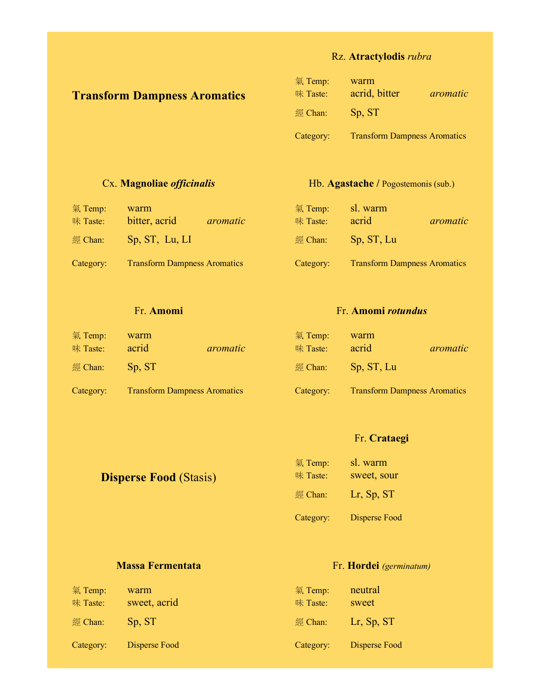### Rz. **Atractylodis** *rubra*

## **Transform Dampness Aromatics**

| 氣 Temp:   | warm                                |          |
|-----------|-------------------------------------|----------|
| 味 Taste:  | acrid, bitter                       | aromatic |
| 經 Chan:   | Sp, ST                              |          |
| Category: | <b>Transform Dampness Aromatics</b> |          |

#### Cx. **Magnoliae** *officinalis*

#### Hb. **Agastache /** Pogostemonis (sub.)

| 氣 Temp:<br>味 Taste: | warm<br>bitter, acrid               | aromatic | 氣 Temp:<br>味 Taste: | sl. warm<br>acrid                   | aromatic |
|---------------------|-------------------------------------|----------|---------------------|-------------------------------------|----------|
| 經 Chan:             | Sp, ST, Lu, LI                      |          | 經 Chan:             | Sp, ST, Lu                          |          |
| Category:           | <b>Transform Dampness Aromatics</b> |          | Category:           | <b>Transform Dampness Aromatics</b> |          |

#### Fr. **Amomi**

#### Fr. **Amomi** *rotundus*

| 氣 Temp:<br>味 Taste: | warm<br>acrid                       | aromatic | $\frac{1}{2}$ Temp:<br>味 Taste: | warm<br>acrid                       | aromatic |
|---------------------|-------------------------------------|----------|---------------------------------|-------------------------------------|----------|
| 經 Chan:             | Sp. ST                              |          | 經 Chan:                         | Sp, ST, Lu                          |          |
| Category:           | <b>Transform Dampness Aromatics</b> |          | Category:                       | <b>Transform Dampness Aromatics</b> |          |

#### Fr. **Crataegi**

| <b>Disperse Food (Stasis)</b> | 氣 Temp:<br>味 Taste: | sl. warm<br>sweet, sour |
|-------------------------------|---------------------|-------------------------|
|                               | 經 Chan:             | Lr, Sp, ST              |
|                               | Category:           | Disperse Food           |

#### **Massa Fermentata**

#### Fr. **Hordei** *(germinatum)*

| 氣 Temp:<br>味 Taste: | warm<br>sweet, acrid | 氣 Temp:<br>味 Taste: | neutral<br>sweet |
|---------------------|----------------------|---------------------|------------------|
| $\mathbb{Z}$ Chan:  | Sp, ST               | 經 Chan:             | $Lr$ , Sp, ST    |
| Category:           | Disperse Food        | Category:           | Disperse Food    |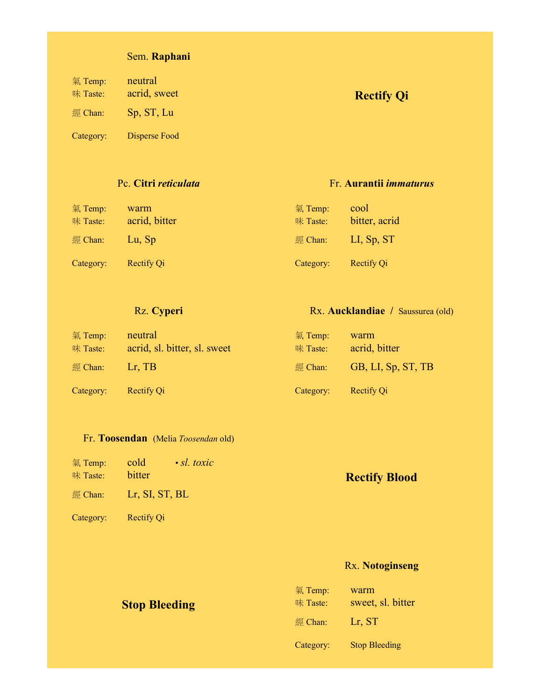## Sem. **Raphani**

| 氣 Temp:<br>味 Taste:<br>經 Chan: | neutral<br>acrid, sweet<br>Sp, ST, Lu | <b>Rectify Qi</b> |
|--------------------------------|---------------------------------------|-------------------|
| Category:                      | Disperse Food                         |                   |

#### Pc. **Citri** *reticulata*

#### Fr. **Aurantii** *immaturus*

| 氣 Temp:<br>味 Taste: | warm<br>acrid, bitter | 氣 Temp:<br>味 Taste: | cool<br>bitter, acrid |
|---------------------|-----------------------|---------------------|-----------------------|
| 經 Chan:             | Lu, Sp                | 經 $Chan$ :          | LI, Sp, ST            |
| Category:           | Rectify Qi            | Category:           | <b>Rectify Qi</b>     |

### Rz. **Cyperi**

#### Rx. **Aucklandiae /** Saussurea (old)

| 氣 Temp:<br>味 Taste: | neutral<br>acrid, sl. bitter, sl. sweet | 氣 Temp:<br>味 Taste: | warm<br>acrid, bitter |
|---------------------|-----------------------------------------|---------------------|-----------------------|
| 經 Chan:             | $Lr$ . TB                               | 經 Chan:             | GB, LI, Sp, ST, TB    |
| Category:           | Rectify Qi                              | Category:           | Rectify Qi            |

#### Fr. **Toosendan** (Melia *Toosendan* old)

| 氣 Temp:<br>味 Taste: | $\cdot$ sl. toxic<br>cold<br>bitter | <b>Rectify Blood</b> |
|---------------------|-------------------------------------|----------------------|
|                     | $\mathbb{Z}$ Chan: Lr, SI, ST, BL   |                      |
| Category:           | Rectify Qi                          |                      |

## Rx. **Notoginseng**

| <b>Stop Bleeding</b> | 氣 Temp:<br>味 Taste: | warm<br>sweet, sl. bitter |
|----------------------|---------------------|---------------------------|
|                      | $\mathbb{R}$ Chan:  | Lr, ST                    |
|                      | Category:           | <b>Stop Bleeding</b>      |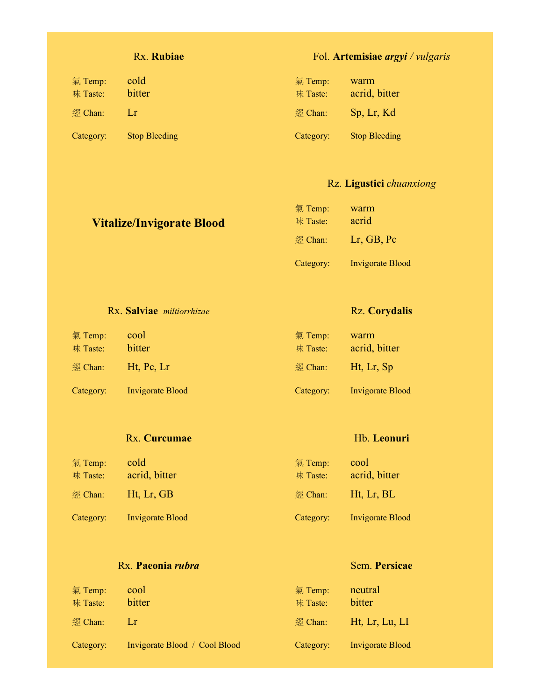#### Rx. **Rubiae**

### Fol. **Artemisiae** *argyi / vulgaris*

| 氣 Temp:<br>味 Taste: | cold<br>bitter       | 氣 Temp:<br>味 Taste: | warm<br>acrid, bitter |
|---------------------|----------------------|---------------------|-----------------------|
| 經 Chan:             | 1 x                  | 經 Chan:             | Sp. Lr. Kd            |
| Category:           | <b>Stop Bleeding</b> | Category:           | <b>Stop Bleeding</b>  |

#### Rz. **Ligustici** *chuanxiong*

| <b>Vitalize/Invigorate Blood</b> | 氣 Temp:<br>味 Taste: | warm<br>acrid           |
|----------------------------------|---------------------|-------------------------|
|                                  | 經 Chan:             | Lr, GB, Pc              |
|                                  | Category:           | <b>Invigorate Blood</b> |

|  | Rx. Salviae miltiorrhizae |
|--|---------------------------|
|  |                           |

#### Rz. **Corydalis**

Hb. **Leonuri**

Sem. **Persicae**

| 氣 Temp:<br>味 Taste: | cool<br>bitter          | 氣 Temp:<br>味 Taste: | warm<br>acrid, bitter   |
|---------------------|-------------------------|---------------------|-------------------------|
| 經 Chan:             | $Ht$ , Pc, Lr           | 經 Chan:             | Ht, Lr, Sp              |
| Category:           | <b>Invigorate Blood</b> | Category:           | <b>Invigorate Blood</b> |

#### Rx. **Curcumae**

| 氣 Temp:<br>味 Taste: | cold<br>acrid, bitter   | 氣 Temp:<br>味 Taste: | cool<br>acrid, bitter |
|---------------------|-------------------------|---------------------|-----------------------|
| 經 Chan:             | Ht, Lr, GB              | 經 Chan:             | Ht, Lr, BL            |
| Category:           | <b>Invigorate Blood</b> | Category:           | Invigorate Blood      |

#### Rx. **Paeonia** *rubra*

#### 氣 Temp: cool 味 Taste: bitter 經 Chan: Lr Category: Invigorate Blood / Cool Blood 氣 Temp: neutral 味 Taste: bitter 經 Chan: Ht, Lr, Lu, LI Category: Invigorate Blood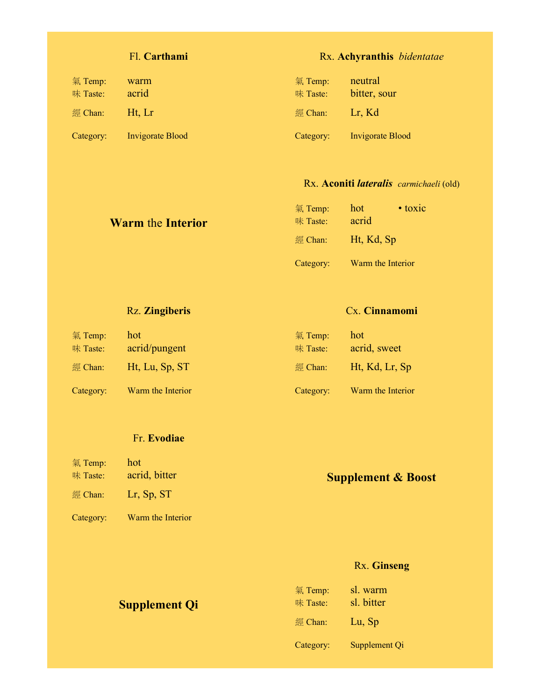## Fl. **Carthami**

## Rx. **Achyranthis** *bidentatae*

| 氣 Temp:<br>味 Taste: | warm<br>acrid           | 氣 Temp:<br>味 Taste: | neutral<br>bitter, sour |
|---------------------|-------------------------|---------------------|-------------------------|
| 經 Chan:             | Ht. Lr                  | $\mathbb{R}$ Chan:  | Lr, Kd                  |
| Category:           | <b>Invigorate Blood</b> | Category:           | <b>Invigorate Blood</b> |

#### Rx. **Aconiti** *lateralis carmichaeli* (old)

| <b>Warm the Interior</b> | 氣 Temp:<br>味 Taste: | $\bullet$ toxic<br>hot<br>acrid |
|--------------------------|---------------------|---------------------------------|
|                          |                     | 經 Chan: Ht, Kd, Sp              |
|                          | Category:           | Warm the Interior               |

### Rz. **Zingiberis**

#### Cx. **Cinnamomi**

| 氣 Temp:            | hot.              | 氣 Temp:            | hot               |
|--------------------|-------------------|--------------------|-------------------|
| 味 Taste:           | acrid/pungent     | 味 Taste:           | acrid, sweet      |
| $\mathbb{R}$ Chan: | Ht, Lu, Sp, ST    | $\mathbb{Z}$ Chan: | Ht, Kd, Lr, Sp    |
| Category:          | Warm the Interior | Category:          | Warm the Interior |

#### Fr. **Evodiae**

| 氣 Temp:<br>味 Taste: | hot<br>acrid, bitter | <b>Supplement &amp; Boost</b> |
|---------------------|----------------------|-------------------------------|
| 經 Chan:             | Lr, Sp, $ST$         |                               |
| Category:           | Warm the Interior    |                               |

## Rx. **Ginseng**

| <b>Supplement Qi</b> | 氣 Temp:<br>味 Taste: | sl. warm<br>sl. bitter |
|----------------------|---------------------|------------------------|
|                      | $\mathbb{R}$ Chan:  | Lu, Sp                 |
|                      | Category:           | Supplement Qi          |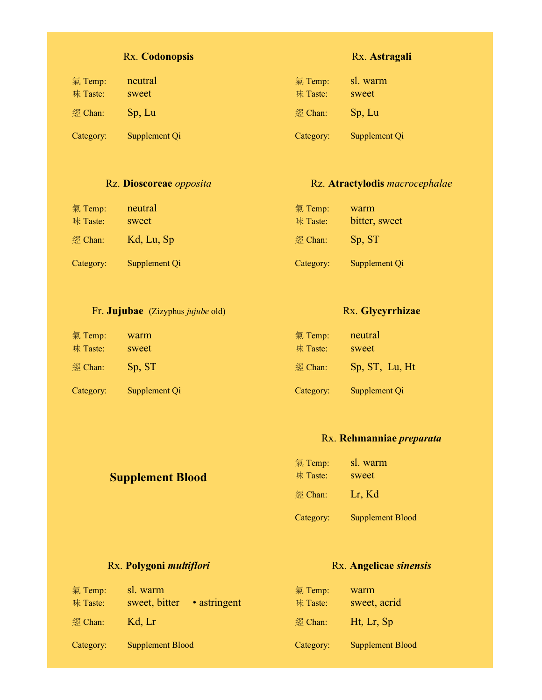### Rx. **Codonopsis**

| 氣 Temp:   | neutral       | 氣 Temp:   | sl. warm      |
|-----------|---------------|-----------|---------------|
| 味 Taste:  | sweet         | 味 Taste:  | sweet         |
| 經 Chan:   | Sp, Lu        | 經 Chan:   | Sp, Lu        |
| Category: | Supplement Qi | Category: | Supplement Qi |

#### Rz. **Dioscoreae** *opposita*

#### Rz. **Atractylodis** *macrocephalae*

Rx. **Glycyrrhizae**

Rx. **Astragali**

| 氣 Temp:<br>味 Taste: | neutral<br>sweet | $\frac{1}{2}$ Temp:<br>味 Taste: | warm<br>bitter, sweet |
|---------------------|------------------|---------------------------------|-----------------------|
| 經 Chan:             | Kd, Lu, Sp       | 經 Chan:                         | Sp. ST                |
| Category:           | Supplement Qi    | Category:                       | Supplement Qi         |

#### Fr. **Jujubae** (Zizyphus *jujube* old)

#### 氣 Temp: warm 味 Taste: sweet 經 Chan: Sp, ST Category: Supplement Qi 氣 Temp: neutral 味 Taste: sweet 經 Chan: Sp, ST, Lu, Ht Category: Supplement Qi

#### Rx. **Rehmanniae** *preparata*

| <b>Supplement Blood</b> | 氣 Temp:<br>味 Taste: | sl. warm<br>sweet       |
|-------------------------|---------------------|-------------------------|
|                         | 經 Chan:             | Lr, Kd                  |
|                         | Category:           | <b>Supplement Blood</b> |

#### Rx. **Polygoni** *multiflori*

#### Rx. **Angelicae** *sinensis*

| 氣 Temp:<br>味 Taste: | sl. warm<br>• astringent<br>sweet, bitter | 氣 Temp:<br>味 Taste: | warm<br>sweet, acrid    |
|---------------------|-------------------------------------------|---------------------|-------------------------|
| $\mathbb{R}$ Chan:  | Kd. Lr                                    | $\mathbb{Z}$ Chan:  | Ht, Lr, Sp              |
| Category:           | Supplement Blood                          | Category:           | <b>Supplement Blood</b> |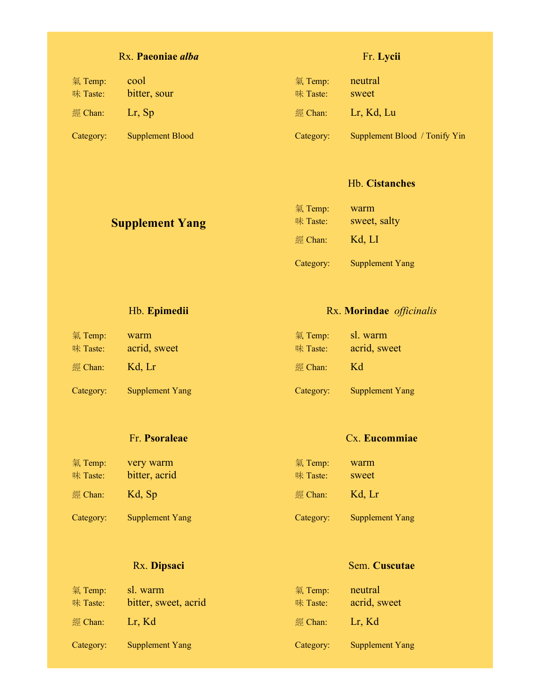## Rx. **Paeoniae** *alba*

## Fr. **Lycii**

| 氣 Temp:<br>味 Taste: | cool<br>bitter, sour | 氣 Temp:<br>味 Taste: | neutral<br>sweet              |
|---------------------|----------------------|---------------------|-------------------------------|
| 經 Chan:             | $Lr$ , Sp            | 經 Chan:             | Lr, Kd, Lu                    |
| Category:           | Supplement Blood     | Category:           | Supplement Blood / Tonify Yin |

#### Hb. **Cistanches**

| <b>Supplement Yang</b> | 氣 Temp:<br>味 Taste: | warm<br>sweet, salty   |
|------------------------|---------------------|------------------------|
|                        | $\mathbb{R}$ Chan:  | Kd, LI                 |
|                        | Category:           | <b>Supplement Yang</b> |

### Hb. **Epimedii**

### Rx. **Morindae** *officinalis*

Cx. **Eucommiae**

Sem. **Cuscutae**

| 氣 Temp:<br>味 Taste: | warm<br>acrid, sweet   | 氣 Temp:<br>味 Taste: | sl. warm<br>acrid, sweet |
|---------------------|------------------------|---------------------|--------------------------|
| 經 Chan:             | Kd. Lr                 | $\mathbb{Z}$ Chan:  | Kd                       |
| Category:           | <b>Supplement Yang</b> | Category:           | <b>Supplement Yang</b>   |

#### Fr. **Psoraleae**

| 味 Taste:  | bitter, acrid          | 味 Taste:           | sweet                  |
|-----------|------------------------|--------------------|------------------------|
| 經 Chan:   | Kd, Sp                 | $\mathbb{Z}$ Chan: | Kd, Lr                 |
| Category: | <b>Supplement Yang</b> | Category:          | <b>Supplement Yang</b> |

## Rx. **Dipsaci**

| 氣 Temp:<br>味 Taste: | sl. warm<br>bitter, sweet, acrid | 氣 Temp:<br>味 Taste: | neutral<br>acrid, sweet |
|---------------------|----------------------------------|---------------------|-------------------------|
| 經 Chan:             | Lr, Kd                           | 經 Chan:             | Lr, Kd                  |
| Category:           | <b>Supplement Yang</b>           | Category:           | <b>Supplement Yang</b>  |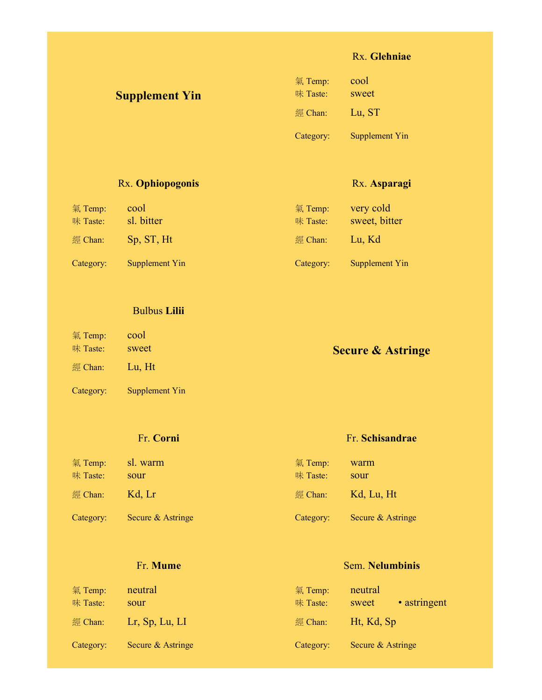#### Rx. **Glehniae**

Rx. **Asparagi**

氣 Temp: very cold 味 Taste: sweet, bitter

經 Chan: Lu, Kd

Category: Supplement Yin

Yin

| <b>Supplement Yin</b> | 氣 Temp:<br>味 Taste: | cool<br>sweet |
|-----------------------|---------------------|---------------|
|                       | $\mathbb{Z}$ Chan:  | Lu, ST        |
|                       | Category:           | Supplement    |

#### Rx. **Ophiopogonis**

氣 Temp: cool

味 Taste: sl. bitter 經 Chan: Sp, ST, Ht

Category: Supplement Yin

#### Bulbus **Lilii**

| 氣 Temp:<br>味 Taste: | cool<br>sweet  | <b>Secure &amp; Astringe</b> |
|---------------------|----------------|------------------------------|
| 經 Chan:             | Lu, Ht         |                              |
| Category:           | Supplement Yin |                              |

#### Fr. **Corni**

#### 氣 Temp: sl. warm 味 Taste: sour 經 Chan: Kd, Lr Category: Secure & Astringe 氣 Temp: warm 味 Taste: sour 經 Chan: Kd, Lu, Ht Category: Secure & Astringe

#### Fr. **Mume**

#### Sem. **Nelumbinis**

Fr. **Schisandrae**

| 氣 Temp:<br>味 Taste: | neutral<br>sour   | 氣 Temp:<br>味 Taste: | neutral<br>• astringent<br>sweet |
|---------------------|-------------------|---------------------|----------------------------------|
| 經 Chan:             | $Lr$ , Sp, Lu, LI | 經 Chan:             | Ht, Kd, Sp                       |
| Category:           | Secure & Astringe | Category:           | Secure & Astringe                |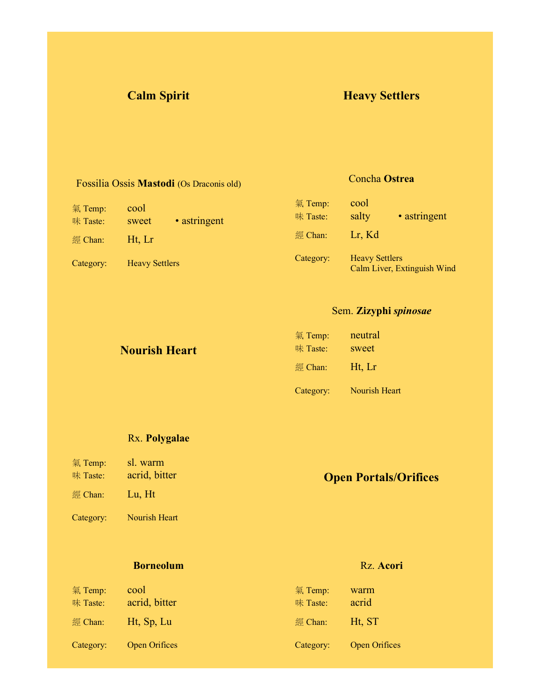## **Calm Spirit Heavy Settlers**

#### Fossilia Ossis **Mastodi** (Os Draconis old)

| 氣 Temp:   | cool                  |              |  |
|-----------|-----------------------|--------------|--|
| 味 Taste:  | sweet                 | • astringent |  |
| 經 Chan:   | Ht, Lr                |              |  |
| Category: | <b>Heavy Settlers</b> |              |  |

#### Concha **Ostrea**

| 氣 Temp:   | cool                  |                             |
|-----------|-----------------------|-----------------------------|
| 味 Taste:  | salty                 | • astringent                |
| 經 Chan:   | Lr, Kd                |                             |
| Category: | <b>Heavy Settlers</b> | Calm Liver, Extinguish Wind |

#### Sem. **Zizyphi** *spinosae*

氣 Temp: neutral

| <b>Nourish Heart</b> | $\pi$ iverily.<br>味 Taste: | nouuu<br>sweet |
|----------------------|----------------------------|----------------|
|                      | 經 Chan:                    | Ht, Lr         |
|                      | Category:                  | Nourish Heart  |

#### Rx. **Polygalae**

- 氣 Temp: sl. warm 味 Taste: acrid, bitter
- 
- 經 Chan: Lu, Ht
- Category: Nourish Heart

#### **Borneolum**

## 氣 Temp: cool 味 Taste: acrid, bitter 經 Chan: Ht, Sp, Lu Category: Open Orifices

## **Open Portals/Orifices**

#### Rz. **Acori**

| 氣 Temp:   | warm                 |
|-----------|----------------------|
| 味 Taste:  | acrid                |
| 經 Chan:   | Ht, ST               |
| Category: | <b>Open Orifices</b> |